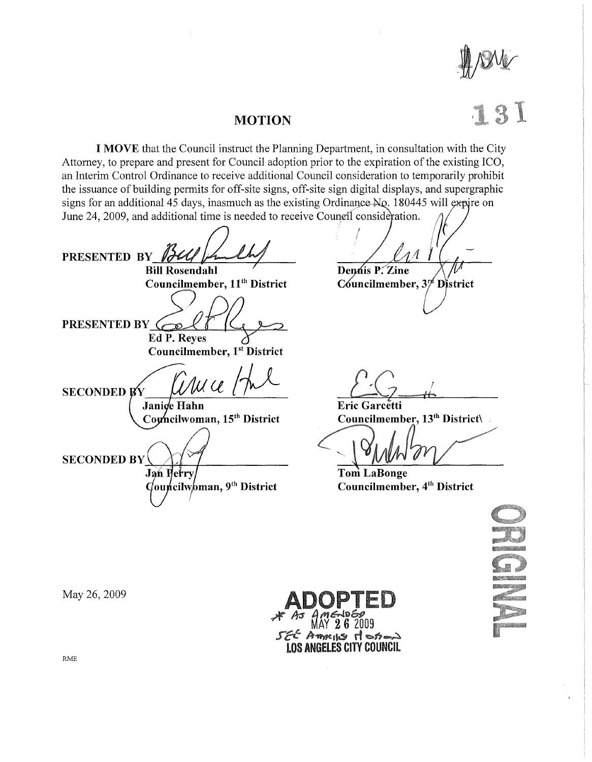

## **MOTION**

**I MOVE** that the Council instruct the Planning Department, in consultation with the City Attorney, to prepare and present for Council adoption prior to the expiration of the existing ICO, an Interim Control Ordinance to receive additional Council consideration to temporarily prohibit the issuance of building permits for off-site signs, off-site sign digital displays, and supergraphic signs for an additional 45 days, inasmuch as the existing Ordinance  $NQ$ . 180445 will expire on June 24, 2009, and additional time is needed to receive Council consideration.

PRESENTED BY 174 Councilmember,  $11^{th}$  District Councilmember,  $3^{rd}$  District PRESENTED BY  $\epsilon$ **Ed P. Reyes Councilmember, 1st District**  $\overline{\mu}$ **SECONDED BY** Janice Hahn Councilwoman, 15<sup>th</sup> District **SECONDED BY Jan Perry**  $\overrightarrow{Quplcilw}$ oman, 9<sup>th</sup> District

**Dennis P. Zine** 

 $E$ ric *Garcetti* Councilmember,  $13<sup>th</sup>$  District\

**TomLaBonge Councilmember,** 4th **District** 



Americ dotan **LOS ANGELES CITY COUNCIL** 

May 26,2009

RME